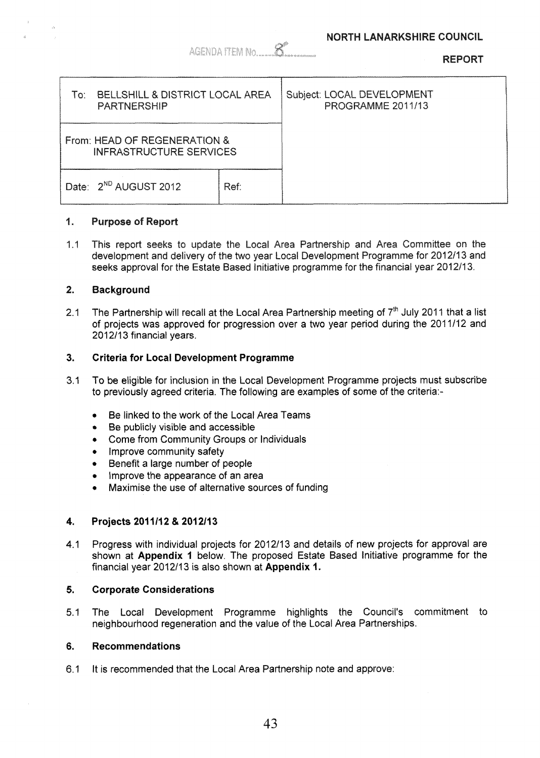**nra**nr

|                                                                |      |                                                 | NETURI |
|----------------------------------------------------------------|------|-------------------------------------------------|--------|
| BELLSHILL & DISTRICT LOCAL AREA<br>To:<br><b>PARTNERSHIP</b>   |      | Subject: LOCAL DEVELOPMENT<br>PROGRAMME 2011/13 |        |
| From: HEAD OF REGENERATION &<br><b>INFRASTRUCTURE SERVICES</b> |      |                                                 |        |
| Date: 2 <sup>ND</sup> AUGUST 2012                              | Ref: |                                                 |        |

AGENDA ITEM No

#### 1. **Purpose of Report**

**1.1**  This report seeks to update the Local Area Partnership and Area Committee on the development and delivery of the two year Local Development Programme for 2012/13 and seeks approval for the Estate Based Initiative programme for the financial vear 2012/13.

#### $2.$ **Background**

**2.1**  The Partnership will recall at the Local Area Partnership meeting of 7<sup>th</sup> July 2011 that a list of projects was approved for progression over a two year period during the **201 1/12** and **201211 3** financial years.

### **3. Criteria for Local Development Programme**

- $3.1$ To be eligible for inclusion in the Local Development Programme projects must subscribe to previously agreed criteria. The following are examples of some of the criteria:-
	- \* Be linked to the work of the Local Area Teams
	- Be publicly visible and accessible
	- *0* Come from Community Groups or Individuals
	- Improve community safety
	- \* Benefit a large number of people
	- *0* Improve the appearance of an area
	- *0* Maximise the use of alternative sources of funding

#### **4. Projects 201** III **2** & **201 211 <sup>3</sup>**

**4.1**  Progress with individual projects for **2012/13** and details of new projects for approval are shown at **Appendix 1** below. The proposed Estate Based Initiative programme for the financial year 2012/13 is also shown at Appendix 1.

#### **5. Corporate Considerations**

**5. I**  The Local Development Programme highlights the Council's commitment to neighbourhood regeneration and the value of the Local Area Partnerships.

#### **6. Recommendations**

 $6.1$ It is recommended that the Local Area Partnership note and approve: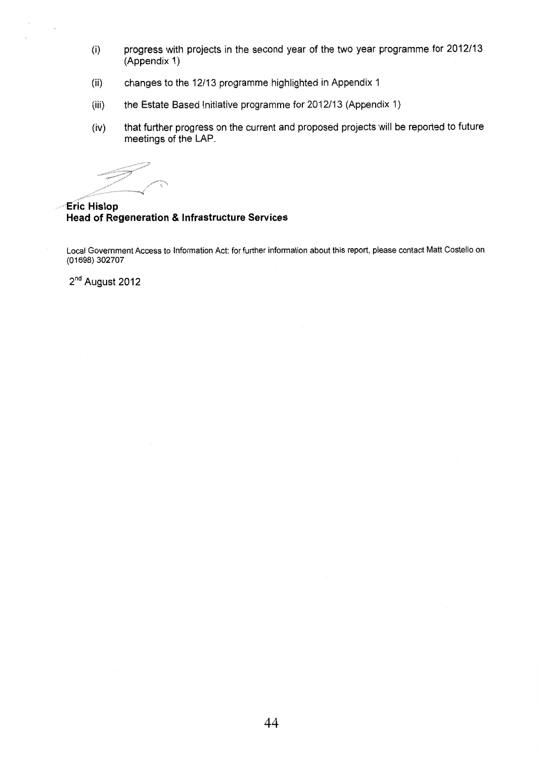- (i) progress with projects in the second year of the two year programme for 2012/13 (Appendix 1)
- (ii) changes to the 12/13 programme highlighted in Appendix 1
- the Estate Based Initiative programme for 2012/13 (Appendix 1)  $(iii)$
- (iv) that further progress on the current and proposed projects will be reported to future meetings of the **LAP.**

r "\* \

**Eric Hislop Head of Regeneration** & **Infrastructure Services** 

Local Government Access to Information Act: for further information about this report, please contact Matt Costello on (01698) 302707

2<sup>nd</sup> August 2012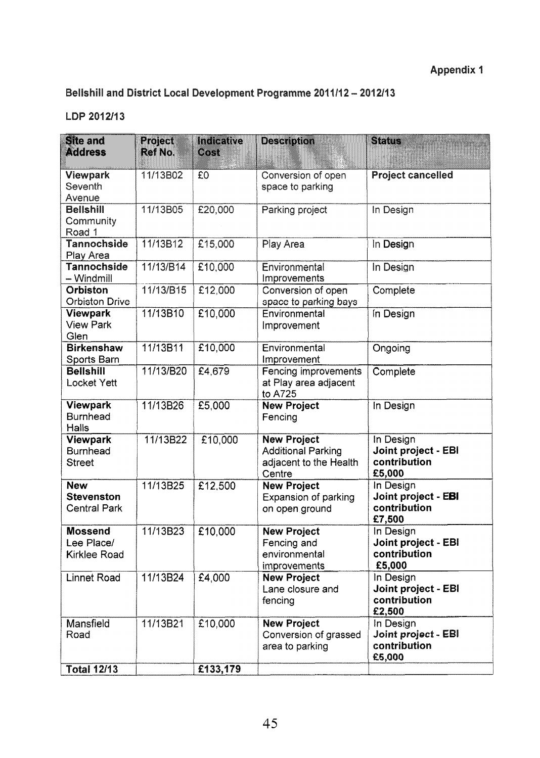# Bellshill and District Local Development Programme 2011/12 - 2012/13

## LDP 2012/13

| <b>Site and</b><br><b>Address</b>                      | Project<br>Ref No. | Indicative<br><b>Albert Strategy</b> | <b>Description</b>                                                                  | <b>Status</b>                                                     |
|--------------------------------------------------------|--------------------|--------------------------------------|-------------------------------------------------------------------------------------|-------------------------------------------------------------------|
| <b>Viewpark</b><br>Seventh<br>Avenue                   | 11/13B02           | £0                                   | Conversion of open<br>space to parking                                              | <b>Project cancelled</b>                                          |
| <b>Bellshill</b><br>Community<br>Road 1                | 11/13B05           | £20,000                              | Parking project                                                                     | In Design                                                         |
| <b>Tannochside</b><br>Play Area                        | 11/13B12           | £15,000                              | Play Area                                                                           | In Design                                                         |
| <b>Tannochside</b><br>$-Windmill$                      | 11/13/B14          | £10,000                              | Environmental<br>Improvements                                                       | In Design                                                         |
| <b>Orbiston</b><br><b>Orbiston Drive</b>               | 11/13/B15          | £12,000                              | Conversion of open<br>space to parking bays                                         | Complete                                                          |
| <b>Viewpark</b><br><b>View Park</b><br>Glen            | 11/13B10           | £10,000                              | Environmental<br>Improvement                                                        | In Design                                                         |
| <b>Birkenshaw</b><br>Sports Barn                       | 11/13B11           | £10,000                              | Environmental<br>Improvement                                                        | Ongoing                                                           |
| <b>Bellshill</b><br><b>Locket Yett</b>                 | 11/13/B20          | £4,679                               | Fencing improvements<br>at Play area adjacent<br>to A725                            | Complete                                                          |
| Viewpark<br><b>Burnhead</b><br><b>Halls</b>            | 11/13B26           | £5,000                               | <b>New Project</b><br>Fencing                                                       | In Design                                                         |
| Viewpark<br><b>Burnhead</b><br><b>Street</b>           | 11/13B22           | £10,000                              | <b>New Project</b><br><b>Additional Parking</b><br>adjacent to the Health<br>Centre | In Design<br>Joint project - EBI<br>contribution<br>£5,000        |
| <b>New</b><br><b>Stevenston</b><br><b>Central Park</b> | 11/13B25           | £12,500                              | <b>New Project</b><br><b>Expansion of parking</b><br>on open ground                 | In Design<br>Joint project - EBI<br>contribution<br>£7,500        |
| <b>Mossend</b><br>Lee Place/<br><b>Kirklee Road</b>    | 11/13B23           | E10,000                              | <b>New Project</b><br>Fencing and<br>environmental<br>improvements                  | In Design<br><b>Joint project - EBI</b><br>contribution<br>£5,000 |
| <b>Linnet Road</b>                                     | 11/13B24           | £4,000                               | <b>New Project</b><br>Lane closure and<br>fencing                                   | In Design<br>Joint project - EBI<br>contribution<br>£2,500        |
| Mansfield<br>Road                                      | 11/13B21           | £10,000                              | <b>New Project</b><br>Conversion of grassed<br>area to parking                      | In Design<br><b>Joint project - EBI</b><br>contribution<br>£5,000 |
| <b>Total 12/13</b>                                     |                    | £133,179                             |                                                                                     |                                                                   |